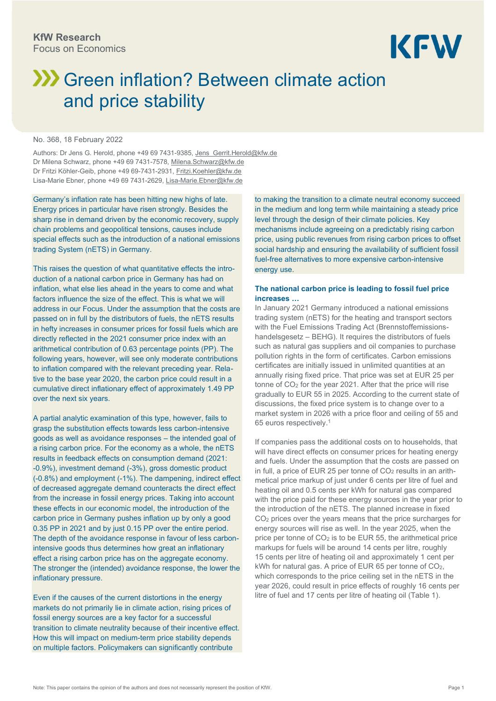

# **XXX** Green inflation? Between climate action and price stability

## No. 368, 18 February 2022

Authors: Dr Jens G. Herold, phone +49 69 7431-9385[, Jens\\_Gerrit.Herold@kfw.de](mailto:Jens_Gerrit.Herold@kfw.de) Dr Milena Schwarz, phone +49 69 7431-7578[, Milena.Schwarz@kfw.de](mailto:Milena.Schwarz@kfw.de) Dr Fritzi Köhler-Geib, phone +49 69-7431-2931[, Fritzi.Koehler@kfw.de](mailto:Fritzi.Koehler@kfw.de) Lisa-Marie Ebner, phone +49 69 7431-2629, [Lisa-Marie.Ebner@kfw.de](mailto:Lisa-Marie.Ebner@kfw.de)

Germany's inflation rate has been hitting new highs of late. Energy prices in particular have risen strongly. Besides the sharp rise in demand driven by the economic recovery, supply chain problems and geopolitical tensions, causes include special effects such as the introduction of a national emissions trading System (nETS) in Germany.

This raises the question of what quantitative effects the introduction of a national carbon price in Germany has had on inflation, what else lies ahead in the years to come and what factors influence the size of the effect. This is what we will address in our Focus. Under the assumption that the costs are passed on in full by the distributors of fuels, the nETS results in hefty increases in consumer prices for fossil fuels which are directly reflected in the 2021 consumer price index with an arithmetical contribution of 0.63 percentage points (PP). The following years, however, will see only moderate contributions to inflation compared with the relevant preceding year. Relative to the base year 2020, the carbon price could result in a cumulative direct inflationary effect of approximately 1.49 PP over the next six years.

A partial analytic examination of this type, however, fails to grasp the substitution effects towards less carbon-intensive goods as well as avoidance responses – the intended goal of a rising carbon price. For the economy as a whole, the nETS results in feedback effects on consumption demand (2021: -0.9%), investment demand (-3%), gross domestic product (-0.8%) and employment (-1%). The dampening, indirect effect of decreased aggregate demand counteracts the direct effect from the increase in fossil energy prices. Taking into account these effects in our economic model, the introduction of the carbon price in Germany pushes inflation up by only a good 0.35 PP in 2021 and by just 0.15 PP over the entire period. The depth of the avoidance response in favour of less carbonintensive goods thus determines how great an inflationary effect a rising carbon price has on the aggregate economy. The stronger the (intended) avoidance response, the lower the inflationary pressure.

Even if the causes of the current distortions in the energy markets do not primarily lie in climate action, rising prices of fossil energy sources are a key factor for a successful transition to climate neutrality because of their incentive effect. How this will impact on medium-term price stability depends on multiple factors. Policymakers can significantly contribute

to making the transition to a climate neutral economy succeed in the medium and long term while maintaining a steady price level through the design of their climate policies. Key mechanisms include agreeing on a predictably rising carbon price, using public revenues from rising carbon prices to offset social hardship and ensuring the availability of sufficient fossil fuel-free alternatives to more expensive carbon-intensive energy use.

## **The national carbon price is leading to fossil fuel price increases …**

In January 2021 Germany introduced a national emissions trading system (nETS) for the heating and transport sectors with the Fuel Emissions Trading Act (Brennstoffemissionshandelsgesetz – BEHG). It requires the distributors of fuels such as natural gas suppliers and oil companies to purchase pollution rights in the form of certificates. Carbon emissions certificates are initially issued in unlimited quantities at an annually rising fixed price. That price was set at EUR 25 per tonne of CO<sup>2</sup> for the year 2021. After that the price will rise gradually to EUR 55 in 2025. According to the current state of discussions, the fixed price system is to change over to a market system in 2026 with a price floor and ceiling of 55 and 65 euros respectively.<sup>1</sup>

If companies pass the additional costs on to households, that will have direct effects on consumer prices for heating energy and fuels. Under the assumption that the costs are passed on in full, a price of EUR 25 per tonne of  $CO<sub>2</sub>$  results in an arithmetical price markup of just under 6 cents per litre of fuel and heating oil and 0.5 cents per kWh for natural gas compared with the price paid for these energy sources in the year prior to the introduction of the nETS. The planned increase in fixed CO<sup>2</sup> prices over the years means that the price surcharges for energy sources will rise as well. In the year 2025, when the price per tonne of  $CO<sub>2</sub>$  is to be EUR 55, the arithmetical price markups for fuels will be around 14 cents per litre, roughly 15 cents per litre of heating oil and approximately 1 cent per kWh for natural gas. A price of EUR 65 per tonne of CO2, which corresponds to the price ceiling set in the nETS in the year 2026, could result in price effects of roughly 16 cents per litre of fuel and 17 cents per litre of heating oil (Table 1).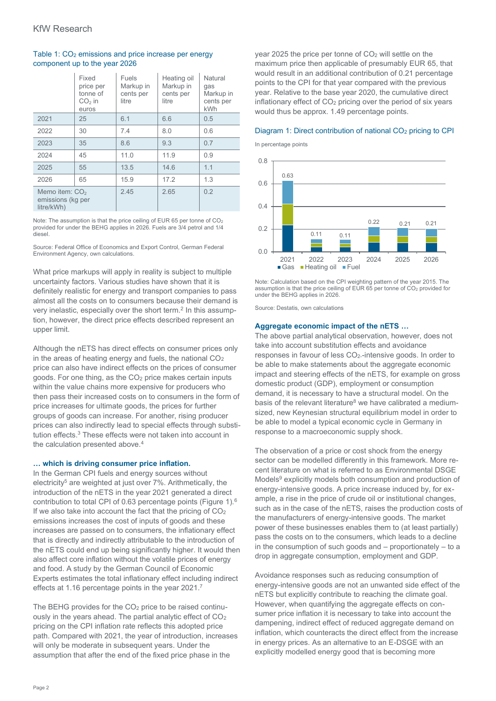## Table 1: CO<sub>2</sub> emissions and price increase per energy component up to the year 2026

|                                                               | Fixed<br>price per<br>tonne of<br>$CO2$ in<br>euros | Fuels<br>Markup in<br>cents per<br>litre | Heating oil<br>Markup in<br>cents per<br>litre | Natural<br>gas<br>Markup in<br>cents per<br><b>kWh</b> |
|---------------------------------------------------------------|-----------------------------------------------------|------------------------------------------|------------------------------------------------|--------------------------------------------------------|
| 2021                                                          | 25                                                  | 6.1                                      | 6.6                                            | 0.5                                                    |
| 2022                                                          | 30                                                  | 7.4                                      | 8.0                                            | 0.6                                                    |
| 2023                                                          | 35                                                  | 8.6                                      | 9.3                                            | 0.7                                                    |
| 2024                                                          | 45                                                  | 11.0                                     | 11.9                                           | 0.9                                                    |
| 2025                                                          | 55                                                  | 13.5                                     | 14.6                                           | 1.1                                                    |
| 2026                                                          | 65                                                  | 15.9                                     | 17.2                                           | 1.3                                                    |
| Memo item: CO <sub>2</sub><br>emissions (kg per<br>litre/kWh) |                                                     | 2.45                                     | 2.65                                           | 0.2                                                    |

Note: The assumption is that the price ceiling of EUR 65 per tonne of CO<sub>2</sub> provided for under the BEHG applies in 2026. Fuels are 3/4 petrol and 1/4 diesel.

Source: Federal Office of Economics and Export Control, German Federal Environment Agency, own calculations.

What price markups will apply in reality is subject to multiple uncertainty factors. Various studies have shown that it is definitely realistic for energy and transport companies to pass almost all the costs on to consumers because their demand is very inelastic, especially over the short term.<sup>2</sup> In this assumption, however, the direct price effects described represent an upper limit.

Although the nETS has direct effects on consumer prices only in the areas of heating energy and fuels, the national CO<sub>2</sub> price can also have indirect effects on the prices of consumer goods. For one thing, as the CO<sub>2</sub> price makes certain inputs within the value chains more expensive for producers who then pass their increased costs on to consumers in the form of price increases for ultimate goods, the prices for further groups of goods can increase. For another, rising producer prices can also indirectly lead to special effects through substitution effects.<sup>3</sup> These effects were not taken into account in the calculation presented above.<sup>4</sup>

## **… which is driving consumer price inflation.**

In the German CPI fuels and energy sources without electricity<sup>5</sup> are weighted at just over  $7\%$ . Arithmetically, the introduction of the nETS in the year 2021 generated a direct contribution to total CPI of 0.63 percentage points (Figure 1).<sup>6</sup> If we also take into account the fact that the pricing of  $CO<sub>2</sub>$ emissions increases the cost of inputs of goods and these increases are passed on to consumers, the inflationary effect that is directly and indirectly attributable to the introduction of the nETS could end up being significantly higher. It would then also affect core inflation without the volatile prices of energy and food. A study by the German Council of Economic Experts estimates the total inflationary effect including indirect effects at 1.16 percentage points in the year 2021.<sup>7</sup>

The BEHG provides for the  $CO<sub>2</sub>$  price to be raised continuously in the years ahead. The partial analytic effect of  $CO<sub>2</sub>$ pricing on the CPI inflation rate reflects this adopted price path. Compared with 2021, the year of introduction, increases will only be moderate in subsequent years. Under the assumption that after the end of the fixed price phase in the

year 2025 the price per tonne of  $CO<sub>2</sub>$  will settle on the maximum price then applicable of presumably EUR 65, that would result in an additional contribution of 0.21 percentage points to the CPI for that year compared with the previous year. Relative to the base year 2020, the cumulative direct inflationary effect of  $CO<sub>2</sub>$  pricing over the period of six years would thus be approx. 1.49 percentage points.

# Diagram 1: Direct contribution of national CO<sup>2</sup> pricing to CPI

In percentage points



Note: Calculation based on the CPI weighting pattern of the year 2015. The assumption is that the price ceiling of EUR 65 per tonne of  $CO<sub>2</sub>$  provided for under the BEHG applies in 2026.

Source: Destatis, own calculations

# **Aggregate economic impact of the nETS …**

The above partial analytical observation, however, does not take into account substitution effects and avoidance responses in favour of less CO2--intensive goods. In order to be able to make statements about the aggregate economic impact and steering effects of the nETS, for example on gross domestic product (GDP), employment or consumption demand, it is necessary to have a structural model. On the basis of the relevant literature<sup>8</sup> we have calibrated a mediumsized, new Keynesian structural equilibrium model in order to be able to model a typical economic cycle in Germany in response to a macroeconomic supply shock.

The observation of a price or cost shock from the energy sector can be modelled differently in this framework. More recent literature on what is referred to as Environmental DSGE Models<sup>9</sup> explicitly models both consumption and production of energy-intensive goods. A price increase induced by, for example, a rise in the price of crude oil or institutional changes, such as in the case of the nETS, raises the production costs of the manufacturers of energy-intensive goods. The market power of these businesses enables them to (at least partially) pass the costs on to the consumers, which leads to a decline in the consumption of such goods and – proportionately – to a drop in aggregate consumption, employment and GDP. 0.63<br>
2021<br>
2021<br>
2021<br>
2021<br>
2022<br>
2022<br>
2022<br>
2022<br>
2022<br>
2022<br>
2022<br>
2022<br>
2022<br>
2022<br>
2022<br>
2022<br>
2022<br>
2022<br>
2022<br>
2022<br>
2022<br>
2022<br>
2022<br>
2022<br>
2022<br>
2022<br>
2022<br>
2022<br>
2022<br>
2022<br>
2022<br>
2022<br>
2022<br>
2022<br>
2022<br>
2022<br>

Avoidance responses such as reducing consumption of energy-intensive goods are not an unwanted side effect of the nETS but explicitly contribute to reaching the climate goal. However, when quantifying the aggregate effects on consumer price inflation it is necessary to take into account the dampening, indirect effect of reduced aggregate demand on inflation, which counteracts the direct effect from the increase in energy prices. As an alternative to an E-DSGE with an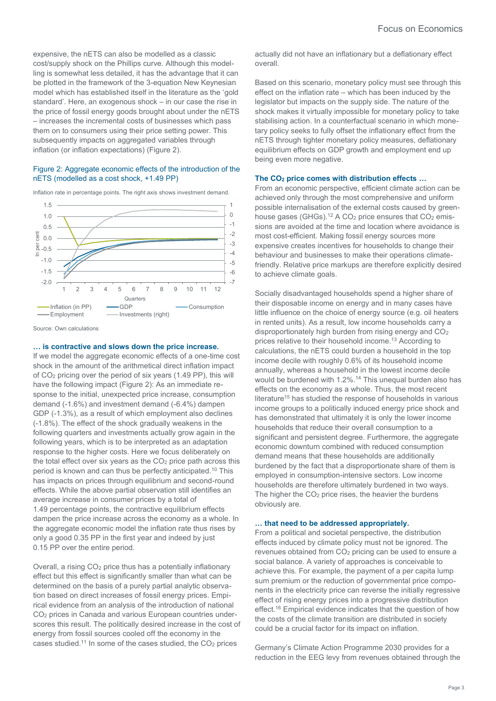expensive, the nETS can also be modelled as a classic cost/supply shock on the Phillips curve. Although this modelling is somewhat less detailed, it has the advantage that it can be plotted in the framework of the 3-equation New Keynesian model which has established itself in the literature as the 'gold standard'. Here, an exogenous shock – in our case the rise in the price of fossil energy goods brought about under the nETS – increases the incremental costs of businesses which pass them on to consumers using their price setting power. This subsequently impacts on aggregated variables through inflation (or inflation expectations) (Figure 2).

## Figure 2: Aggregate economic effects of the introduction of the nETS (modelled as a cost shock, +1.49 PP)

Inflation rate in percentage points. The right axis shows investment demand.



Source: Own calculations

#### **… is contractive and slows down the price increase.**

If we model the aggregate economic effects of a one-time cost shock in the amount of the arithmetical direct inflation impact of CO<sup>2</sup> pricing over the period of six years (1.49 PP), this will have the following impact (Figure 2): As an immediate response to the initial, unexpected price increase, consumption demand (-1.6%) and investment demand (-6.4%) dampen GDP (-1.3%), as a result of which employment also declines (-1.8%). The effect of the shock gradually weakens in the following quarters and investments actually grow again in the following years, which is to be interpreted as an adaptation response to the higher costs. Here we focus deliberately on the total effect over six years as the CO<sub>2</sub> price path across this period is known and can thus be perfectly anticipated.<sup>10</sup> This has impacts on prices through equilibrium and second-round effects. While the above partial observation still identifies an average increase in consumer prices by a total of 1.49 percentage points, the contractive equilibrium effects dampen the price increase across the economy as a whole. In the aggregate economic model the inflation rate thus rises by only a good 0.35 PP in the first year and indeed by just 0.15 PP over the entire period.

Overall, a rising CO<sup>2</sup> price thus has a potentially inflationary effect but this effect is significantly smaller than what can be determined on the basis of a purely partial analytic observation based on direct increases of fossil energy prices. Empirical evidence from an analysis of the introduction of national CO<sup>2</sup> prices in Canada and various European countries underscores this result. The politically desired increase in the cost of energy from fossil sources cooled off the economy in the cases studied.<sup>11</sup> In some of the cases studied, the CO<sub>2</sub> prices

actually did not have an inflationary but a deflationary effect overall.

Based on this scenario, monetary policy must see through this effect on the inflation rate – which has been induced by the legislator but impacts on the supply side. The nature of the shock makes it virtually impossible for monetary policy to take stabilising action. In a counterfactual scenario in which monetary policy seeks to fully offset the inflationary effect from the nETS through tighter monetary policy measures, deflationary equilibrium effects on GDP growth and employment end up being even more negative.

## **The CO<sup>2</sup> price comes with distribution effects …**

From an economic perspective, efficient climate action can be achieved only through the most comprehensive and uniform possible internalisation of the external costs caused by greenhouse gases (GHGs).<sup>12</sup> A CO<sub>2</sub> price ensures that  $CO<sub>2</sub>$  emissions are avoided at the time and location where avoidance is most cost-efficient. Making fossil energy sources more expensive creates incentives for households to change their behaviour and businesses to make their operations climatefriendly. Relative price markups are therefore explicitly desired to achieve climate goals.

Socially disadvantaged households spend a higher share of their disposable income on energy and in many cases have little influence on the choice of energy source (e.g. oil heaters in rented units). As a result, low income households carry a disproportionately high burden from rising energy and  $CO<sub>2</sub>$ prices relative to their household income.<sup>13</sup> According to calculations, the nETS could burden a household in the top income decile with roughly 0.6% of its household income annually, whereas a household in the lowest income decile would be burdened with 1.2%.<sup>14</sup> This unequal burden also has effects on the economy as a whole. Thus, the most recent literature<sup>15</sup> has studied the response of households in various income groups to a politically induced energy price shock and has demonstrated that ultimately it is only the lower income households that reduce their overall consumption to a significant and persistent degree. Furthermore, the aggregate economic downturn combined with reduced consumption demand means that these households are additionally burdened by the fact that a disproportionate share of them is employed in consumption-intensive sectors. Low income households are therefore ultimately burdened in two ways. The higher the CO<sub>2</sub> price rises, the heavier the burdens obviously are.

#### **… that need to be addressed appropriately.**

From a political and societal perspective, the distribution effects induced by climate policy must not be ignored. The revenues obtained from CO<sub>2</sub> pricing can be used to ensure a social balance. A variety of approaches is conceivable to achieve this. For example, the payment of a per capita lump sum premium or the reduction of governmental price components in the electricity price can reverse the initially regressive effect of rising energy prices into a progressive distribution effect.<sup>16</sup> Empirical evidence indicates that the question of how the costs of the climate transition are distributed in society could be a crucial factor for its impact on inflation.

Germany's Climate Action Programme 2030 provides for a reduction in the EEG levy from revenues obtained through the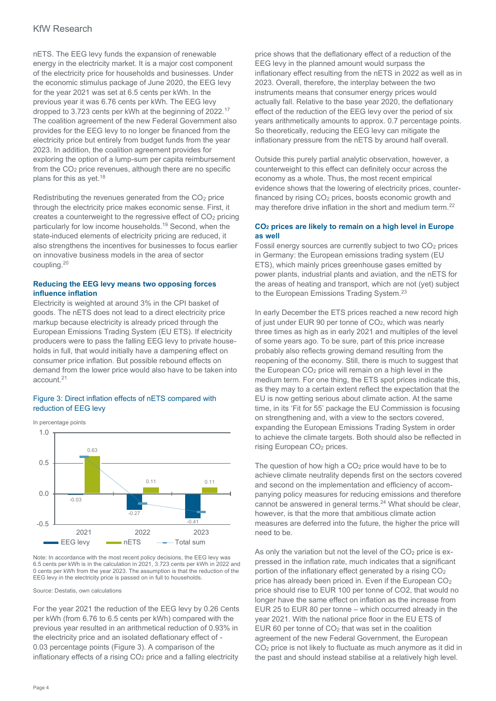nETS. The EEG levy funds the expansion of renewable energy in the electricity market. It is a major cost component of the electricity price for households and businesses. Under the economic stimulus package of June 2020, the EEG levy for the year 2021 was set at 6.5 cents per kWh. In the previous year it was 6.76 cents per kWh. The EEG levy dropped to 3.723 cents per kWh at the beginning of 2022.<sup>17</sup> The coalition agreement of the new Federal Government also provides for the EEG levy to no longer be financed from the electricity price but entirely from budget funds from the year 2023. In addition, the coalition agreement provides for exploring the option of a lump-sum per capita reimbursement from the CO<sup>2</sup> price revenues, although there are no specific plans for this as yet.<sup>18</sup>

Redistributing the revenues generated from the CO<sub>2</sub> price through the electricity price makes economic sense. First, it creates a counterweight to the regressive effect of CO<sup>2</sup> pricing particularly for low income households.<sup>19</sup> Second, when the state-induced elements of electricity pricing are reduced, it also strengthens the incentives for businesses to focus earlier on innovative business models in the area of sector coupling.<sup>20</sup>

# **Reducing the EEG levy means two opposing forces influence inflation**

Electricity is weighted at around 3% in the CPI basket of goods. The nETS does not lead to a direct electricity price markup because electricity is already priced through the European Emissions Trading System (EU ETS). If electricity producers were to pass the falling EEG levy to private households in full, that would initially have a dampening effect on consumer price inflation. But possible rebound effects on demand from the lower price would also have to be taken into account.<sup>21</sup>

# Figure 3: Direct inflation effects of nETS compared with reduction of EEG levy

In percentage points



Note: In accordance with the most recent policy decisions, the EEG levy was 6.5 cents per kWh is in the calculation in 2021, 3.723 cents per kWh in 2022 and 0 cents per kWh from the year 2023. The assumption is that the reduction of the EEG levy in the electricity price is passed on in full to households.

Source: Destatis, own calculations

For the year 2021 the reduction of the EEG levy by 0.26 Cents per kWh (from 6.76 to 6.5 cents per kWh) compared with the previous year resulted in an arithmetical reduction of 0.93% in the electricity price and an isolated deflationary effect of - 0.03 percentage points (Figure 3). A comparison of the inflationary effects of a rising CO<sup>2</sup> price and a falling electricity

price shows that the deflationary effect of a reduction of the EEG levy in the planned amount would surpass the inflationary effect resulting from the nETS in 2022 as well as in 2023. Overall, therefore, the interplay between the two instruments means that consumer energy prices would actually fall. Relative to the base year 2020, the deflationary effect of the reduction of the EEG levy over the period of six years arithmetically amounts to approx. 0.7 percentage points. So theoretically, reducing the EEG levy can mitigate the inflationary pressure from the nETS by around half overall.

Outside this purely partial analytic observation, however, a counterweight to this effect can definitely occur across the economy as a whole. Thus, the most recent empirical evidence shows that the lowering of electricity prices, counterfinanced by rising CO<sup>2</sup> prices, boosts economic growth and may therefore drive inflation in the short and medium term.<sup>22</sup>

# **CO<sup>2</sup> prices are likely to remain on a high level in Europe as well**

Fossil energy sources are currently subject to two  $CO<sub>2</sub>$  prices in Germany: the European emissions trading system (EU ETS), which mainly prices greenhouse gases emitted by power plants, industrial plants and aviation, and the nETS for the areas of heating and transport, which are not (yet) subject to the European Emissions Trading System.<sup>23</sup>

In early December the ETS prices reached a new record high of just under EUR 90 per tonne of CO<sub>2</sub>, which was nearly three times as high as in early 2021 and multiples of the level of some years ago. To be sure, part of this price increase probably also reflects growing demand resulting from the reopening of the economy. Still, there is much to suggest that the European CO<sub>2</sub> price will remain on a high level in the medium term. For one thing, the ETS spot prices indicate this, as they may to a certain extent reflect the expectation that the EU is now getting serious about climate action. At the same time, in its 'Fit for 55' package the EU Commission is focusing on strengthening and, with a view to the sectors covered, expanding the European Emissions Trading System in order to achieve the climate targets. Both should also be reflected in rising European CO<sup>2</sup> prices.

The question of how high a CO<sub>2</sub> price would have to be to achieve climate neutrality depends first on the sectors covered and second on the implementation and efficiency of accompanying policy measures for reducing emissions and therefore cannot be answered in general terms.<sup>24</sup> What should be clear, however, is that the more that ambitious climate action measures are deferred into the future, the higher the price will need to be.

As only the variation but not the level of the  $CO<sub>2</sub>$  price is expressed in the inflation rate, much indicates that a significant portion of the inflationary effect generated by a rising CO<sup>2</sup> price has already been priced in. Even if the European CO<sup>2</sup> price should rise to EUR 100 per tonne of CO2, that would no longer have the same effect on inflation as the increase from EUR 25 to EUR 80 per tonne – which occurred already in the year 2021. With the national price floor in the EU ETS of EUR 60 per tonne of  $CO<sub>2</sub>$  that was set in the coalition agreement of the new Federal Government, the European CO<sup>2</sup> price is not likely to fluctuate as much anymore as it did in the past and should instead stabilise at a relatively high level.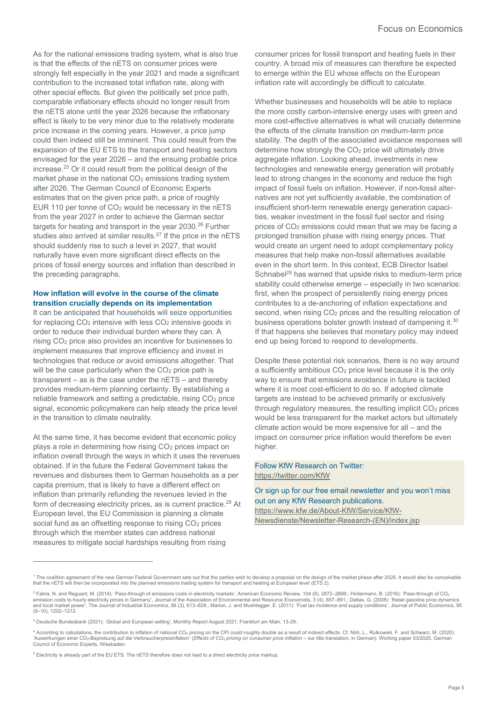As for the national emissions trading system, what is also true is that the effects of the nETS on consumer prices were strongly felt especially in the year 2021 and made a significant contribution to the increased total inflation rate, along with other special effects. But given the politically set price path, comparable inflationary effects should no longer result from the nETS alone until the year 2026 because the inflationary effect is likely to be very minor due to the relatively moderate price increase in the coming years. However, a price jump could then indeed still be imminent. This could result from the expansion of the EU ETS to the transport and heating sectors envisaged for the year 2026 – and the ensuing probable price increase. <sup>25</sup> Or it could result from the political design of the market phase in the national  $CO<sub>2</sub>$  emissions trading system after 2026. The German Council of Economic Experts estimates that on the given price path, a price of roughly EUR 110 per tonne of  $CO<sub>2</sub>$  would be necessary in the nETS from the year 2027 in order to achieve the German sector targets for heating and transport in the year 2030.<sup>26</sup> Further studies also arrived at similar results.<sup>27</sup> If the price in the nETS should suddenly rise to such a level in 2027, that would naturally have even more significant direct effects on the prices of fossil energy sources and inflation than described in the preceding paragraphs.

# **How inflation will evolve in the course of the climate transition crucially depends on its implementation**

It can be anticipated that households will seize opportunities for replacing  $CO<sub>2</sub>$  intensive with less  $CO<sub>2</sub>$  intensive goods in order to reduce their individual burden where they can. A rising CO<sup>2</sup> price also provides an incentive for businesses to implement measures that improve efficiency and invest in technologies that reduce or avoid emissions altogether. That will be the case particularly when the  $CO<sub>2</sub>$  price path is transparent – as is the case under the nETS – and thereby provides medium-term planning certainty. By establishing a reliable framework and setting a predictable, rising  $CO<sub>2</sub>$  price signal, economic policymakers can help steady the price level in the transition to climate neutrality.

At the same time, it has become evident that economic policy plays a role in determining how rising CO<sub>2</sub> prices impact on inflation overall through the ways in which it uses the revenues obtained. If in the future the Federal Government takes the revenues and disburses them to German households as a per capita premium, that is likely to have a different effect on inflation than primarily refunding the revenues levied in the form of decreasing electricity prices, as is current practice.<sup>28</sup> At European level, the EU Commission is planning a climate social fund as an offsetting response to rising CO<sub>2</sub> prices through which the member states can address national measures to mitigate social hardships resulting from rising

consumer prices for fossil transport and heating fuels in their country. A broad mix of measures can therefore be expected to emerge within the EU whose effects on the European inflation rate will accordingly be difficult to calculate.

Whether businesses and households will be able to replace the more costly carbon-intensive energy uses with green and more cost-effective alternatives is what will crucially determine the effects of the climate transition on medium-term price stability. The depth of the associated avoidance responses will determine how strongly the CO<sup>2</sup> price will ultimately drive aggregate inflation. Looking ahead, investments in new technologies and renewable energy generation will probably lead to strong changes in the economy and reduce the high impact of fossil fuels on inflation. However, if non-fossil alternatives are not yet sufficiently available, the combination of insufficient short-term renewable energy generation capacities, weaker investment in the fossil fuel sector and rising prices of CO<sup>2</sup> emissions could mean that we may be facing a prolonged transition phase with rising energy prices. That would create an urgent need to adopt complementary policy measures that help make non-fossil alternatives available even in the short term. In this context, ECB Director Isabel Schnabel<sup>29</sup> has warned that upside risks to medium-term price stability could otherwise emerge – especially in two scenarios: first, when the prospect of persistently rising energy prices contributes to a de-anchoring of inflation expectations and second, when rising CO<sub>2</sub> prices and the resulting relocation of business operations bolster growth instead of dampening it.<sup>30</sup> If that happens she believes that monetary policy may indeed end up being forced to respond to developments.

Despite these potential risk scenarios, there is no way around a sufficiently ambitious CO<sub>2</sub> price level because it is the only way to ensure that emissions avoidance in future is tackled where it is most cost-efficient to do so. If adopted climate targets are instead to be achieved primarily or exclusively through regulatory measures, the resulting implicit  $CO<sub>2</sub>$  prices would be less transparent for the market actors but ultimately climate action would be more expensive for all – and the impact on consumer price inflation would therefore be even higher.

Follow KfW Research on Twitter: <https://twitter.com/KfW>

## Or sign up for our free email newsletter and you won't miss out on any KfW Research publications.

[https://www.kfw.de/About-KfW/Service/KfW-](https://www.kfw.de/About-KfW/Service/KfW-Newsdienste/Newsletter-Research-(EN)/index.jsp)

[Newsdienste/Newsletter-Research-\(EN\)/index.jsp](https://www.kfw.de/About-KfW/Service/KfW-Newsdienste/Newsletter-Research-(EN)/index.jsp)

<sup>&</sup>lt;sup>1</sup> The coalition agreement of the new German Federal Government sets out that the parties wish to develop a proposal on the design of the market phase after 2026. It would also be conceivable that the nETS will then be incorporated into the planned emissions trading system for transport and heating at European level (ETS 2).

 $^2$  Fabra, N. and Reguant, M. (2014): 'Pass-through of emissions costs in electricity markets', American Economic Review, 104 (9), 2872-2899.; Hintermann, B. (2016): 'Pass-through of CO<sub>2</sub> emission costs to hourly electricity prices in Germany', Journal of the Association of Environmental and Resource Economists, 3 (4), 857–891.; Deltas, G. (2008): 'Retail gasoline price dynamics<br>and local market power', The (9–10), 1202–1212.

<sup>3</sup> Deutsche Bundesbank (2021): 'Global and European setting', Monthly Report August 2021, Frankfurt am Main, 13-29.

<sup>4</sup> According to calculations, the contribution to inflation of national CO<sup>2</sup> pricing on the CPI could roughly double as a result of indirect effects. Cf. Nöh, L., Rutkowski, F. and Schwarz, M. (2020): 'Auswirkungen einer CO<sub>2</sub>-Bepreisung auf die Verbraucherpreisinflation' (Effects of CO<sub>2</sub> pricing on consumer price inflation - our title translation, in German), Working paper 03/2020, German Council of Economic Experts, Wiesbaden.

 $<sup>5</sup>$  Electricity is already part of the EU ETS. The nETS therefore does not lead to a direct electricity price markup.</sup>